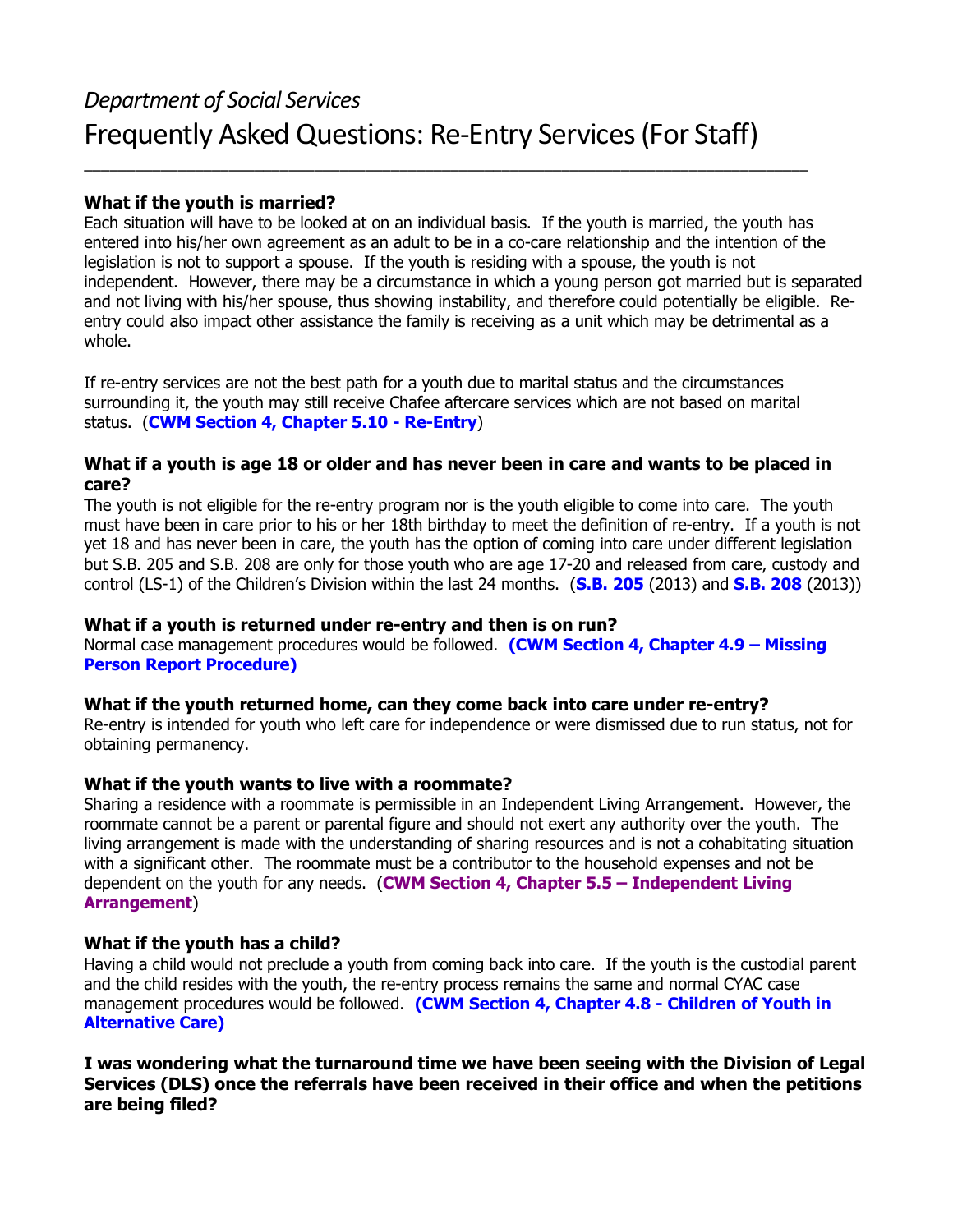# *Department of Social Services* Frequently Asked Questions: Re-Entry Services (For Staff)

\_\_\_\_\_\_\_\_\_\_\_\_\_\_\_\_\_\_\_\_\_\_\_\_\_\_\_\_\_\_\_\_\_\_\_\_\_\_\_\_\_\_\_\_\_\_\_\_\_\_\_\_\_\_\_\_\_\_\_\_\_\_\_\_\_\_\_\_\_\_\_\_\_\_\_\_\_\_\_\_\_\_\_\_\_

#### **What if the youth is married?**

Each situation will have to be looked at on an individual basis. If the youth is married, the youth has entered into his/her own agreement as an adult to be in a co-care relationship and the intention of the legislation is not to support a spouse. If the youth is residing with a spouse, the youth is not independent. However, there may be a circumstance in which a young person got married but is separated and not living with his/her spouse, thus showing instability, and therefore could potentially be eligible. Reentry could also impact other assistance the family is receiving as a unit which may be detrimental as a whole.

If re-entry services are not the best path for a youth due to marital status and the circumstances surrounding it, the youth may still receive Chafee aftercare services which are not based on marital status. (**[CWM Section 4, Chapter 5.10 - Re-Entry](https://dssmanuals.mo.gov/child-welfare-manual/section-4-chapter-5-older-youth-program-subsection-10-re-entry/)**)

#### **What if a youth is age 18 or older and has never been in care and wants to be placed in care?**

The youth is not eligible for the re-entry program nor is the youth eligible to come into care. The youth must have been in care prior to his or her 18th birthday to meet the definition of re-entry. If a youth is not yet 18 and has never been in care, the youth has the option of coming into care under different legislation but S.B. 205 and S.B. 208 are only for those youth who are age 17-20 and released from care, custody and control (LS-1) of the Children's Division within the last 24 months. (**[S.B. 205](http://www.senate.mo.gov/13info/pdf-bill/tat/SB205.pdf)** (2013) and **[S.B. 208](http://www.senate.mo.gov/13info/pdf-bill/tat/SB208.pdf)** (2013))

#### **What if a youth is returned under re-entry and then is on run?**

Normal case management procedures would be followed. **[\(CWM Section 4, Chapter 4.9 – Missing](https://dssmanuals.mo.gov/child-welfare-manual/section-4-chapter-4-working-with-children-subsection-9-missing-person-report-procedure/)  [Person Report Procedure\)](https://dssmanuals.mo.gov/child-welfare-manual/section-4-chapter-4-working-with-children-subsection-9-missing-person-report-procedure/)**

## **What if the youth returned home, can they come back into care under re-entry?**

Re-entry is intended for youth who left care for independence or were dismissed due to run status, not for obtaining permanency.

#### **What if the youth wants to live with a roommate?**

Sharing a residence with a roommate is permissible in an Independent Living Arrangement. However, the roommate cannot be a parent or parental figure and should not exert any authority over the youth. The living arrangement is made with the understanding of sharing resources and is not a cohabitating situation with a significant other. The roommate must be a contributor to the household expenses and not be dependent on the youth for any needs. (**[CWM Section 4, Chapter 5.5 – Independent Living](https://dssmanuals.mo.gov/child-welfare-manual/section-4-chapter-5-older-youth-program-subsection-5-independent-living-arrangement/)  [Arrangement](https://dssmanuals.mo.gov/child-welfare-manual/section-4-chapter-5-older-youth-program-subsection-5-independent-living-arrangement/)**)

## **What if the youth has a child?**

Having a child would not preclude a youth from coming back into care. If the youth is the custodial parent and the child resides with the youth, the re-entry process remains the same and normal CYAC case management procedures would be followed. **(CWM Section 4, Chapter 4.8 - Children of Youth in Alternative Care)**

**I was wondering what the turnaround time we have been seeing with the Division of Legal Services (DLS) once the referrals have been received in their office and when the petitions are being filed?**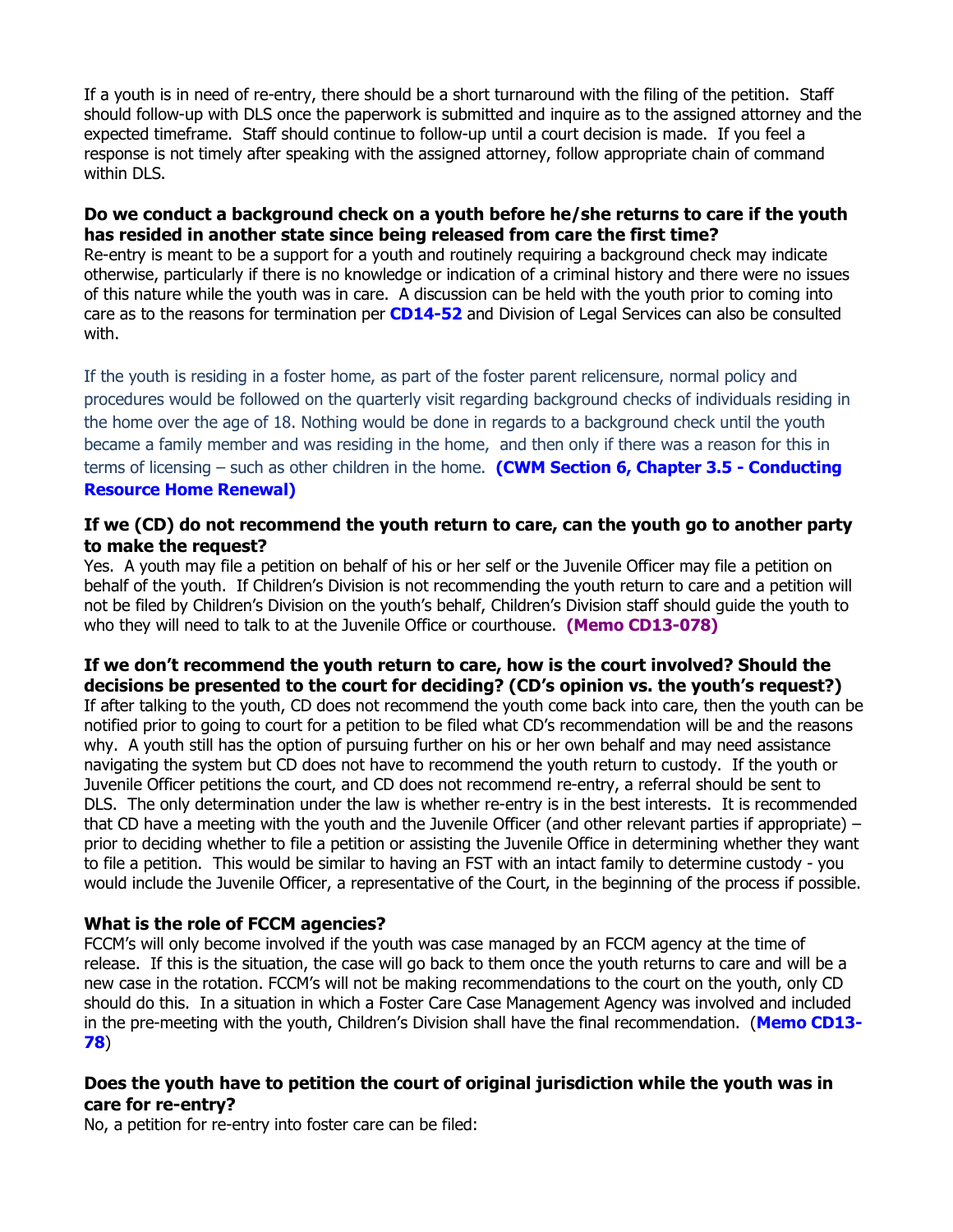If a youth is in need of re-entry, there should be a short turnaround with the filing of the petition. Staff should follow-up with DLS once the paperwork is submitted and inquire as to the assigned attorney and the expected timeframe. Staff should continue to follow-up until a court decision is made. If you feel a response is not timely after speaking with the assigned attorney, follow appropriate chain of command within DLS.

# **Do we conduct a background check on a youth before he/she returns to care if the youth has resided in another state since being released from care the first time?**

Re-entry is meant to be a support for a youth and routinely requiring a background check may indicate otherwise, particularly if there is no knowledge or indication of a criminal history and there were no issues of this nature while the youth was in care. A discussion can be held with the youth prior to coming into care as to the reasons for termination per **[CD14-52](https://dssmanuals.mo.gov/wp-content/themes/mogovwp_dssmanuals/public/cd/memos/2014/cd14-052.pdf)** and Division of Legal Services can also be consulted with.

If the youth is residing in a foster home, as part of the foster parent relicensure, normal policy and procedures would be followed on the quarterly visit regarding background checks of individuals residing in the home over the age of 18. Nothing would be done in regards to a background check until the youth became a family member and was residing in the home, and then only if there was a reason for this in terms of licensing – such as other children in the home. **[\(CWM Section 6, Chapter 3.5](https://dssmanuals.mo.gov/child-welfare-manual/section-6-chapter-3-resource-family-assessment-and-licensing-process-subsection-5-conducting-resource-home-renewal/) - Conducting [Resource Home Renewal\)](https://dssmanuals.mo.gov/child-welfare-manual/section-6-chapter-3-resource-family-assessment-and-licensing-process-subsection-5-conducting-resource-home-renewal/)**

# **If we (CD) do not recommend the youth return to care, can the youth go to another party to make the request?**

Yes. A youth may file a petition on behalf of his or her self or the Juvenile Officer may file a petition on behalf of the youth. If Children's Division is not recommending the youth return to care and a petition will not be filed by Children's Division on the youth's behalf, Children's Division staff should guide the youth to who they will need to talk to at the Juvenile Office or courthouse. **[\(Memo CD13-078\)](https://dssmanuals.mo.gov/wp-content/themes/mogovwp_dssmanuals/public/cd/memos/2013/cd13-078.pdf)**

#### **If we don't recommend the youth return to care, how is the court involved? Should the decisions be presented to the court for deciding? (CD's opinion vs. the youth's request?)**

If after talking to the youth, CD does not recommend the youth come back into care, then the youth can be notified prior to going to court for a petition to be filed what CD's recommendation will be and the reasons why. A youth still has the option of pursuing further on his or her own behalf and may need assistance navigating the system but CD does not have to recommend the youth return to custody. If the youth or Juvenile Officer petitions the court, and CD does not recommend re-entry, a referral should be sent to DLS. The only determination under the law is whether re-entry is in the best interests. It is recommended that CD have a meeting with the youth and the Juvenile Officer (and other relevant parties if appropriate) – prior to deciding whether to file a petition or assisting the Juvenile Office in determining whether they want to file a petition. This would be similar to having an FST with an intact family to determine custody - you would include the Juvenile Officer, a representative of the Court, in the beginning of the process if possible.

## **What is the role of FCCM agencies?**

FCCM's will only become involved if the youth was case managed by an FCCM agency at the time of release. If this is the situation, the case will go back to them once the youth returns to care and will be a new case in the rotation. FCCM's will not be making recommendations to the court on the youth, only CD should do this. In a situation in which a Foster Care Case Management Agency was involved and included in the pre-meeting with the youth, Children's Division shall have the final recommendation. (**[Memo CD13-](https://dssmanuals.mo.gov/wp-content/themes/mogovwp_dssmanuals/public/cd/memos/2013/cd13-078.pdf) [78](https://dssmanuals.mo.gov/wp-content/themes/mogovwp_dssmanuals/public/cd/memos/2013/cd13-078.pdf)**)

## **Does the youth have to petition the court of original jurisdiction while the youth was in care for re-entry?**

No, a petition for re-entry into foster care can be filed: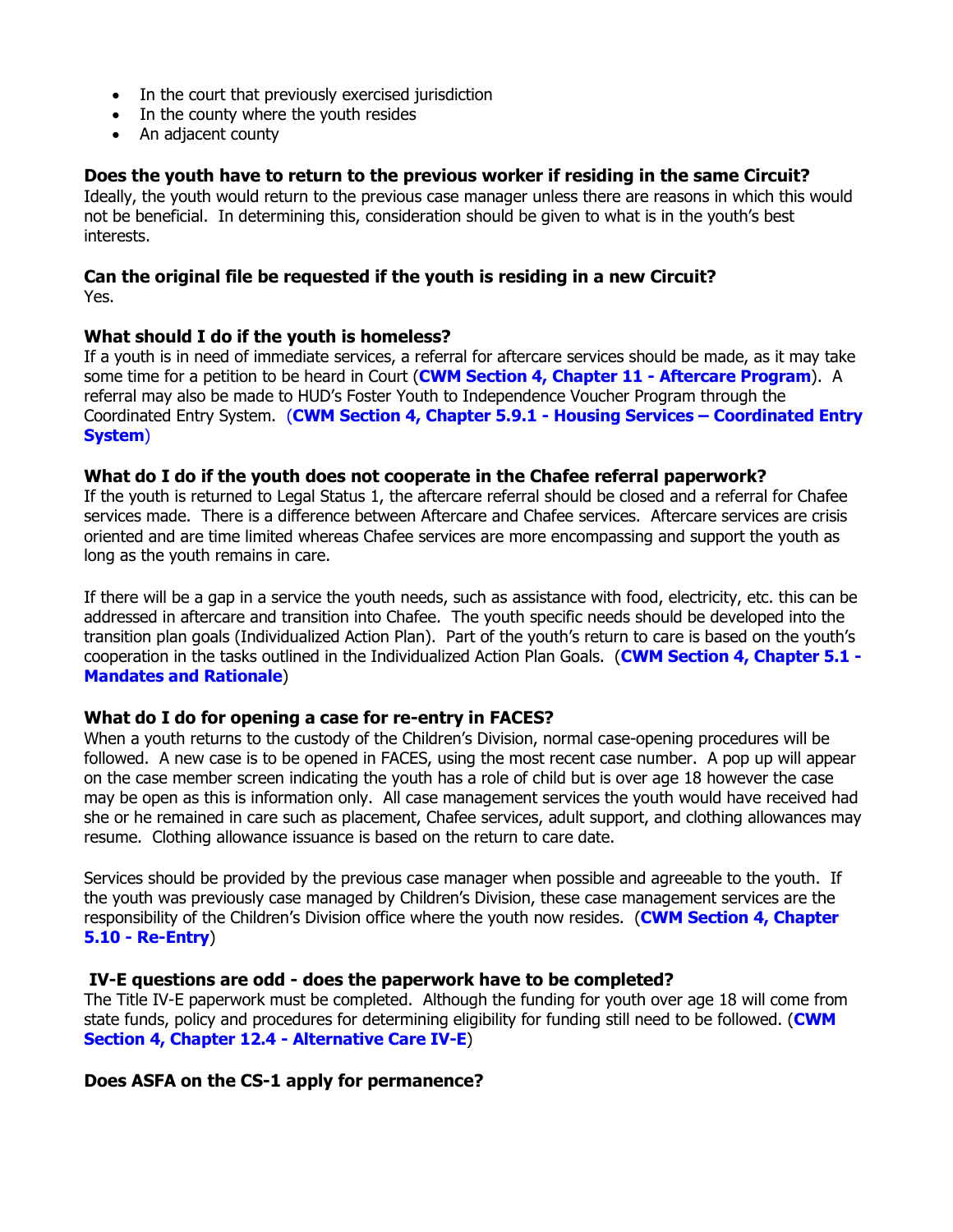- In the court that previously exercised jurisdiction
- In the county where the youth resides
- An adjacent county

## **Does the youth have to return to the previous worker if residing in the same Circuit?**

Ideally, the youth would return to the previous case manager unless there are reasons in which this would not be beneficial. In determining this, consideration should be given to what is in the youth's best interests.

#### **Can the original file be requested if the youth is residing in a new Circuit?**  Yes.

#### **What should I do if the youth is homeless?**

If a youth is in need of immediate services, a referral for aftercare services should be made, as it may take some time for a petition to be heard in Court (**[CWM Section 4, Chapter 11](https://dssmanuals.mo.gov/child-welfare-manual/section-4-chapter-5-older-youth-program-subsection-11-aftercare-program/) - Aftercare Program**). A referral may also be made to HUD's Foster Youth to Independence Voucher Program through the Coordinated Entry System. (**[CWM Section 4, Chapter 5.9.1](https://dssmanuals.mo.gov/child-welfare-manual/section-4-chapter-5-older-youth-program-subsection-9-exit-plan/) - Housing Services – Coordinated Entry [System](https://dssmanuals.mo.gov/child-welfare-manual/section-4-chapter-5-older-youth-program-subsection-9-exit-plan/)**)

#### **What do I do if the youth does not cooperate in the Chafee referral paperwork?**

If the youth is returned to Legal Status 1, the aftercare referral should be closed and a referral for Chafee services made. There is a difference between Aftercare and Chafee services. Aftercare services are crisis oriented and are time limited whereas Chafee services are more encompassing and support the youth as long as the youth remains in care.

If there will be a gap in a service the youth needs, such as assistance with food, electricity, etc. this can be addressed in aftercare and transition into Chafee. The youth specific needs should be developed into the transition plan goals (Individualized Action Plan). Part of the youth's return to care is based on the youth's cooperation in the tasks outlined in the Individualized Action Plan Goals. (**[CWM Section 4, Chapter 5.1 -](https://dssmanuals.mo.gov/child-welfare-manual/section-4-chapter-5-older-youth-program-subsection-1-mandates-and-rationale/) [Mandates and Rationale](https://dssmanuals.mo.gov/child-welfare-manual/section-4-chapter-5-older-youth-program-subsection-1-mandates-and-rationale/)**)

## **What do I do for opening a case for re-entry in FACES?**

When a youth returns to the custody of the Children's Division, normal case-opening procedures will be followed. A new case is to be opened in FACES, using the most recent case number. A pop up will appear on the case member screen indicating the youth has a role of child but is over age 18 however the case may be open as this is information only. All case management services the youth would have received had she or he remained in care such as placement, Chafee services, adult support, and clothing allowances may resume. Clothing allowance issuance is based on the return to care date.

Services should be provided by the previous case manager when possible and agreeable to the youth. If the youth was previously case managed by Children's Division, these case management services are the responsibility of the Children's Division office where the youth now resides. (**[CWM Section 4, Chapter](https://dssmanuals.mo.gov/child-welfare-manual/section-4-chapter-5-older-youth-program-subsection-10-re-entry/)  5.10 - [Re-Entry](https://dssmanuals.mo.gov/child-welfare-manual/section-4-chapter-5-older-youth-program-subsection-10-re-entry/)**)

#### **IV-E questions are odd - does the paperwork have to be completed?**

The Title IV-E paperwork must be completed. Although the funding for youth over age 18 will come from state funds, policy and procedures for determining eligibility for funding still need to be followed. (**[CWM](https://dssmanuals.mo.gov/child-welfare-manual/section-4-chapter-12-financial-considerations-subsection-4-alternative-care-iv-e/)  [Section 4, Chapter 12.4](https://dssmanuals.mo.gov/child-welfare-manual/section-4-chapter-12-financial-considerations-subsection-4-alternative-care-iv-e/) - Alternative Care IV-E**)

## **Does ASFA on the CS-1 apply for permanence?**